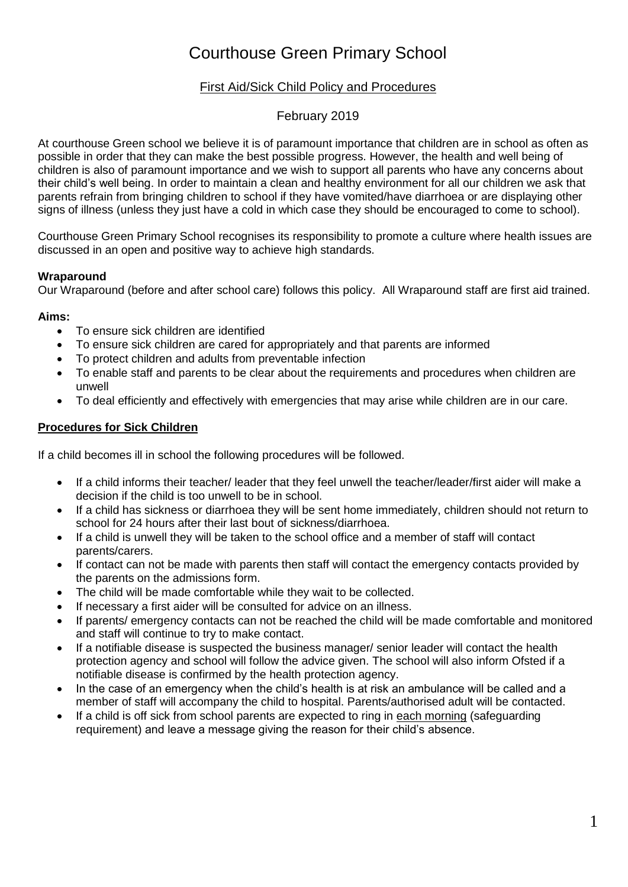# Courthouse Green Primary School

# First Aid/Sick Child Policy and Procedures

# February 2019

At courthouse Green school we believe it is of paramount importance that children are in school as often as possible in order that they can make the best possible progress. However, the health and well being of children is also of paramount importance and we wish to support all parents who have any concerns about their child's well being. In order to maintain a clean and healthy environment for all our children we ask that parents refrain from bringing children to school if they have vomited/have diarrhoea or are displaying other signs of illness (unless they just have a cold in which case they should be encouraged to come to school).

Courthouse Green Primary School recognises its responsibility to promote a culture where health issues are discussed in an open and positive way to achieve high standards.

## **Wraparound**

Our Wraparound (before and after school care) follows this policy. All Wraparound staff are first aid trained.

#### **Aims:**

- To ensure sick children are identified
- To ensure sick children are cared for appropriately and that parents are informed
- To protect children and adults from preventable infection
- To enable staff and parents to be clear about the requirements and procedures when children are unwell
- To deal efficiently and effectively with emergencies that may arise while children are in our care.

## **Procedures for Sick Children**

If a child becomes ill in school the following procedures will be followed.

- If a child informs their teacher/ leader that they feel unwell the teacher/leader/first aider will make a decision if the child is too unwell to be in school.
- If a child has sickness or diarrhoea they will be sent home immediately, children should not return to school for 24 hours after their last bout of sickness/diarrhoea.
- If a child is unwell they will be taken to the school office and a member of staff will contact parents/carers.
- If contact can not be made with parents then staff will contact the emergency contacts provided by the parents on the admissions form.
- The child will be made comfortable while they wait to be collected.
- If necessary a first aider will be consulted for advice on an illness.
- If parents/ emergency contacts can not be reached the child will be made comfortable and monitored and staff will continue to try to make contact.
- If a notifiable disease is suspected the business manager/ senior leader will contact the health protection agency and school will follow the advice given. The school will also inform Ofsted if a notifiable disease is confirmed by the health protection agency.
- In the case of an emergency when the child's health is at risk an ambulance will be called and a member of staff will accompany the child to hospital. Parents/authorised adult will be contacted.
- If a child is off sick from school parents are expected to ring in each morning (safeguarding requirement) and leave a message giving the reason for their child's absence.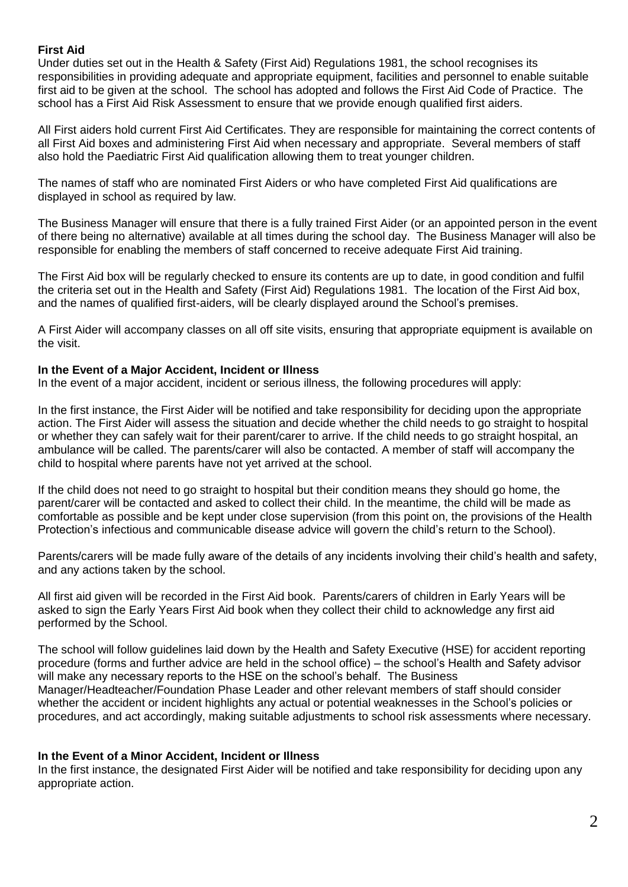### **First Aid**

Under duties set out in the Health & Safety (First Aid) Regulations 1981, the school recognises its responsibilities in providing adequate and appropriate equipment, facilities and personnel to enable suitable first aid to be given at the school. The school has adopted and follows the First Aid Code of Practice. The school has a First Aid Risk Assessment to ensure that we provide enough qualified first aiders.

All First aiders hold current First Aid Certificates. They are responsible for maintaining the correct contents of all First Aid boxes and administering First Aid when necessary and appropriate. Several members of staff also hold the Paediatric First Aid qualification allowing them to treat younger children.

The names of staff who are nominated First Aiders or who have completed First Aid qualifications are displayed in school as required by law.

The Business Manager will ensure that there is a fully trained First Aider (or an appointed person in the event of there being no alternative) available at all times during the school day. The Business Manager will also be responsible for enabling the members of staff concerned to receive adequate First Aid training.

The First Aid box will be regularly checked to ensure its contents are up to date, in good condition and fulfil the criteria set out in the Health and Safety (First Aid) Regulations 1981. The location of the First Aid box, and the names of qualified first-aiders, will be clearly displayed around the School's premises.

A First Aider will accompany classes on all off site visits, ensuring that appropriate equipment is available on the visit.

#### **In the Event of a Major Accident, Incident or Illness**

In the event of a major accident, incident or serious illness, the following procedures will apply:

In the first instance, the First Aider will be notified and take responsibility for deciding upon the appropriate action. The First Aider will assess the situation and decide whether the child needs to go straight to hospital or whether they can safely wait for their parent/carer to arrive. If the child needs to go straight hospital, an ambulance will be called. The parents/carer will also be contacted. A member of staff will accompany the child to hospital where parents have not yet arrived at the school.

If the child does not need to go straight to hospital but their condition means they should go home, the parent/carer will be contacted and asked to collect their child. In the meantime, the child will be made as comfortable as possible and be kept under close supervision (from this point on, the provisions of the Health Protection's infectious and communicable disease advice will govern the child's return to the School).

Parents/carers will be made fully aware of the details of any incidents involving their child's health and safety, and any actions taken by the school.

All first aid given will be recorded in the First Aid book. Parents/carers of children in Early Years will be asked to sign the Early Years First Aid book when they collect their child to acknowledge any first aid performed by the School.

The school will follow guidelines laid down by the Health and Safety Executive (HSE) for accident reporting procedure (forms and further advice are held in the school office) – the school's Health and Safety advisor will make any necessary reports to the HSE on the school's behalf. The Business Manager/Headteacher/Foundation Phase Leader and other relevant members of staff should consider whether the accident or incident highlights any actual or potential weaknesses in the School's policies or procedures, and act accordingly, making suitable adjustments to school risk assessments where necessary.

#### **In the Event of a Minor Accident, Incident or Illness**

In the first instance, the designated First Aider will be notified and take responsibility for deciding upon any appropriate action.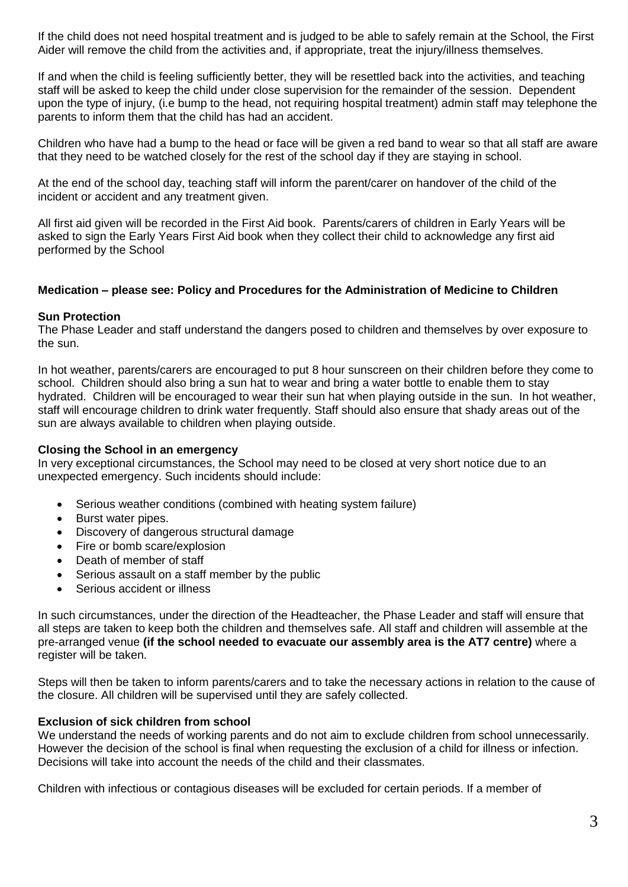If the child does not need hospital treatment and is judged to be able to safely remain at the School, the First Aider will remove the child from the activities and, if appropriate, treat the injury/illness themselves.

If and when the child is feeling sufficiently better, they will be resettled back into the activities, and teaching staff will be asked to keep the child under close supervision for the remainder of the session. Dependent upon the type of injury, (i.e bump to the head, not requiring hospital treatment) admin staff may telephone the parents to inform them that the child has had an accident.

Children who have had a bump to the head or face will be given a red band to wear so that all staff are aware that they need to be watched closely for the rest of the school day if they are staying in school.

At the end of the school day, teaching staff will inform the parent/carer on handover of the child of the incident or accident and any treatment given.

All first aid given will be recorded in the First Aid book. Parents/carers of children in Early Years will be asked to sign the Early Years First Aid book when they collect their child to acknowledge any first aid performed by the School

#### **Medication – please see: Policy and Procedures for the Administration of Medicine to Children**

#### **Sun Protection**

The Phase Leader and staff understand the dangers posed to children and themselves by over exposure to the sun.

In hot weather, parents/carers are encouraged to put 8 hour sunscreen on their children before they come to school. Children should also bring a sun hat to wear and bring a water bottle to enable them to stay hydrated. Children will be encouraged to wear their sun hat when playing outside in the sun. In hot weather, staff will encourage children to drink water frequently. Staff should also ensure that shady areas out of the sun are always available to children when playing outside.

#### **Closing the School in an emergency**

In very exceptional circumstances, the School may need to be closed at very short notice due to an unexpected emergency. Such incidents should include:

- Serious weather conditions (combined with heating system failure)
- Burst water pipes.
- Discovery of dangerous structural damage
- Fire or bomb scare/explosion
- Death of member of staff
- Serious assault on a staff member by the public
- Serious accident or illness

In such circumstances, under the direction of the Headteacher, the Phase Leader and staff will ensure that all steps are taken to keep both the children and themselves safe. All staff and children will assemble at the pre-arranged venue **(if the school needed to evacuate our assembly area is the AT7 centre)** where a register will be taken.

Steps will then be taken to inform parents/carers and to take the necessary actions in relation to the cause of the closure. All children will be supervised until they are safely collected.

#### **Exclusion of sick children from school**

We understand the needs of working parents and do not aim to exclude children from school unnecessarily. However the decision of the school is final when requesting the exclusion of a child for illness or infection. Decisions will take into account the needs of the child and their classmates.

Children with infectious or contagious diseases will be excluded for certain periods. If a member of